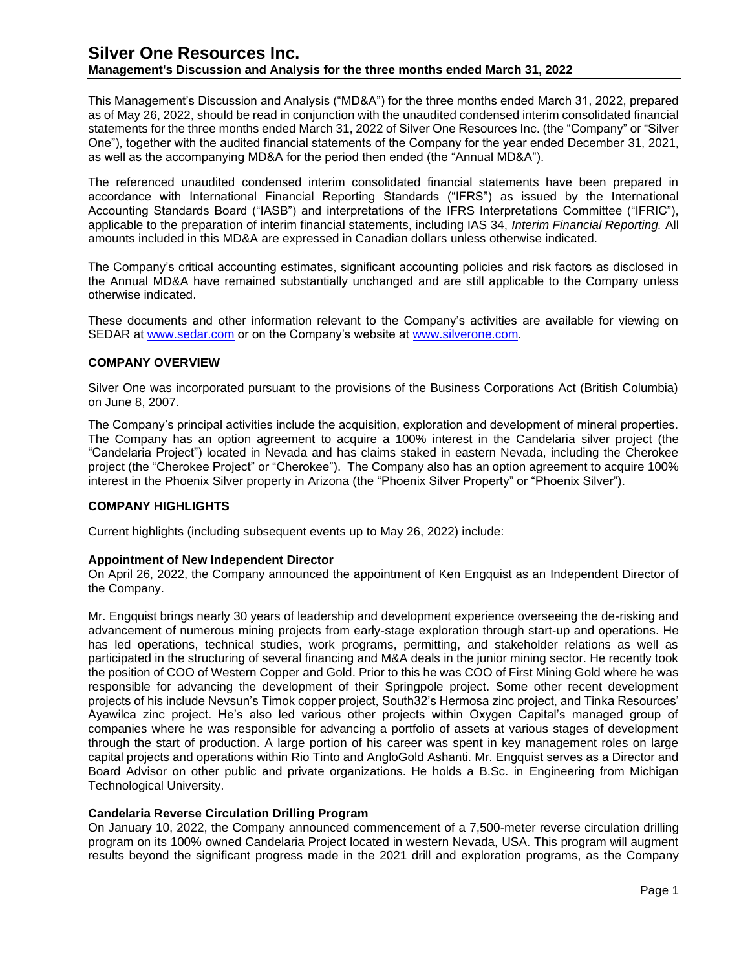This Management's Discussion and Analysis ("MD&A") for the three months ended March 31, 2022, prepared as of May 26, 2022, should be read in conjunction with the unaudited condensed interim consolidated financial statements for the three months ended March 31, 2022 of Silver One Resources Inc. (the "Company" or "Silver One"), together with the audited financial statements of the Company for the year ended December 31, 2021, as well as the accompanying MD&A for the period then ended (the "Annual MD&A").

The referenced unaudited condensed interim consolidated financial statements have been prepared in accordance with International Financial Reporting Standards ("IFRS") as issued by the International Accounting Standards Board ("IASB") and interpretations of the IFRS Interpretations Committee ("IFRIC"), applicable to the preparation of interim financial statements, including IAS 34, *Interim Financial Reporting.* All amounts included in this MD&A are expressed in Canadian dollars unless otherwise indicated.

The Company's critical accounting estimates, significant accounting policies and risk factors as disclosed in the Annual MD&A have remained substantially unchanged and are still applicable to the Company unless otherwise indicated.

These documents and other information relevant to the Company's activities are available for viewing on SEDAR at [www.sedar.com](http://www.sedar.com/) or on the Company's website at [www.silverone.com.](http://www.silverone.com/)

## **COMPANY OVERVIEW**

Silver One was incorporated pursuant to the provisions of the Business Corporations Act (British Columbia) on June 8, 2007.

The Company's principal activities include the acquisition, exploration and development of mineral properties. The Company has an option agreement to acquire a 100% interest in the Candelaria silver project (the "Candelaria Project") located in Nevada and has claims staked in eastern Nevada, including the Cherokee project (the "Cherokee Project" or "Cherokee"). The Company also has an option agreement to acquire 100% interest in the Phoenix Silver property in Arizona (the "Phoenix Silver Property" or "Phoenix Silver").

## **COMPANY HIGHLIGHTS**

Current highlights (including subsequent events up to May 26, 2022) include:

## **Appointment of New Independent Director**

On April 26, 2022, the Company announced the appointment of Ken Engquist as an Independent Director of the Company.

Mr. Engquist brings nearly 30 years of leadership and development experience overseeing the de-risking and advancement of numerous mining projects from early-stage exploration through start-up and operations. He has led operations, technical studies, work programs, permitting, and stakeholder relations as well as participated in the structuring of several financing and M&A deals in the junior mining sector. He recently took the position of COO of Western Copper and Gold. Prior to this he was COO of First Mining Gold where he was responsible for advancing the development of their Springpole project. Some other recent development projects of his include Nevsun's Timok copper project, South32's Hermosa zinc project, and Tinka Resources' Ayawilca zinc project. He's also led various other projects within Oxygen Capital's managed group of companies where he was responsible for advancing a portfolio of assets at various stages of development through the start of production. A large portion of his career was spent in key management roles on large capital projects and operations within Rio Tinto and AngloGold Ashanti. Mr. Engquist serves as a Director and Board Advisor on other public and private organizations. He holds a B.Sc. in Engineering from Michigan Technological University.

## **Candelaria Reverse Circulation Drilling Program**

On January 10, 2022, the Company announced commencement of a 7,500-meter reverse circulation drilling program on its 100% owned Candelaria Project located in western Nevada, USA. This program will augment results beyond the significant progress made in the 2021 drill and exploration programs, as the Company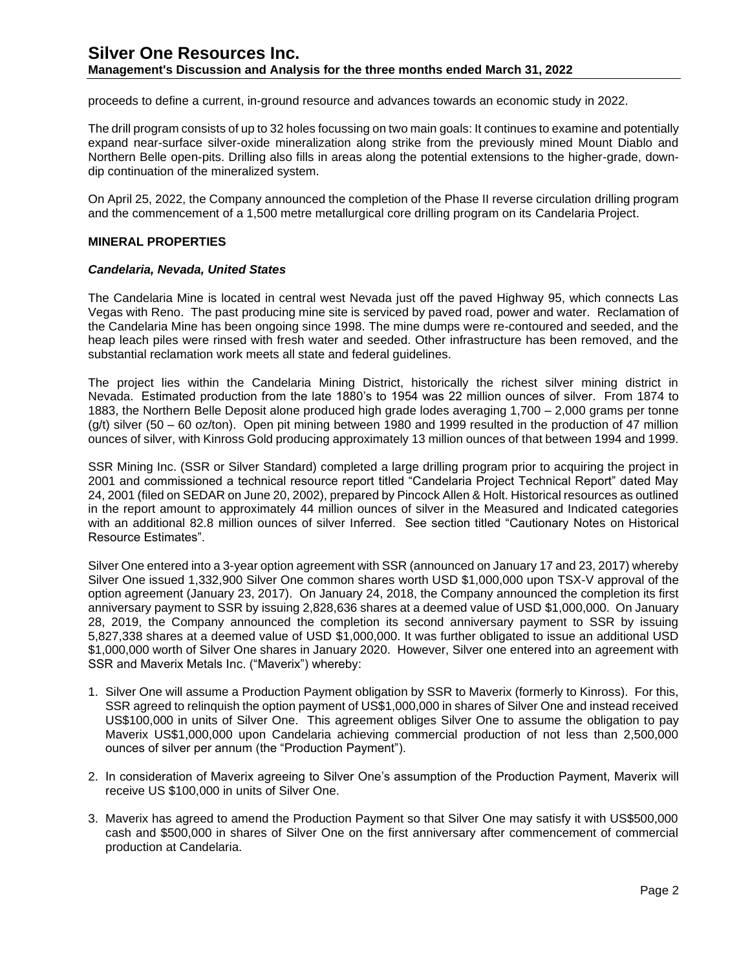proceeds to define a current, in-ground resource and advances towards an economic study in 2022.

The drill program consists of up to 32 holes focussing on two main goals: It continues to examine and potentially expand near-surface silver-oxide mineralization along strike from the previously mined Mount Diablo and Northern Belle open-pits. Drilling also fills in areas along the potential extensions to the higher-grade, downdip continuation of the mineralized system.

On April 25, 2022, the Company announced the completion of the Phase II reverse circulation drilling program and the commencement of a 1,500 metre metallurgical core drilling program on its Candelaria Project.

#### **MINERAL PROPERTIES**

#### *Candelaria, Nevada, United States*

The Candelaria Mine is located in central west Nevada just off the paved Highway 95, which connects Las Vegas with Reno. The past producing mine site is serviced by paved road, power and water. Reclamation of the Candelaria Mine has been ongoing since 1998. The mine dumps were re-contoured and seeded, and the heap leach piles were rinsed with fresh water and seeded. Other infrastructure has been removed, and the substantial reclamation work meets all state and federal guidelines.

The project lies within the Candelaria Mining District, historically the richest silver mining district in Nevada. Estimated production from the late 1880's to 1954 was 22 million ounces of silver. From 1874 to 1883, the Northern Belle Deposit alone produced high grade lodes averaging 1,700 – 2,000 grams per tonne (g/t) silver (50 – 60 oz/ton). Open pit mining between 1980 and 1999 resulted in the production of 47 million ounces of silver, with Kinross Gold producing approximately 13 million ounces of that between 1994 and 1999.

SSR Mining Inc. (SSR or Silver Standard) completed a large drilling program prior to acquiring the project in 2001 and commissioned a technical resource report titled "Candelaria Project Technical Report" dated May 24, 2001 (filed on SEDAR on June 20, 2002), prepared by Pincock Allen & Holt. Historical resources as outlined in the report amount to approximately 44 million ounces of silver in the Measured and Indicated categories with an additional 82.8 million ounces of silver Inferred. See section titled "Cautionary Notes on Historical Resource Estimates".

Silver One entered into a 3-year option agreement with SSR (announced on January 17 and 23, 2017) whereby Silver One issued 1,332,900 Silver One common shares worth USD \$1,000,000 upon TSX-V approval of the option agreement (January 23, 2017). On January 24, 2018, the Company announced the completion its first anniversary payment to SSR by issuing 2,828,636 shares at a deemed value of USD \$1,000,000. On January 28, 2019, the Company announced the completion its second anniversary payment to SSR by issuing 5,827,338 shares at a deemed value of USD \$1,000,000. It was further obligated to issue an additional USD \$1,000,000 worth of Silver One shares in January 2020. However, Silver one entered into an agreement with SSR and Maverix Metals Inc. ("Maverix") whereby:

- 1. Silver One will assume a Production Payment obligation by SSR to Maverix (formerly to Kinross). For this, SSR agreed to relinquish the option payment of US\$1,000,000 in shares of Silver One and instead received US\$100,000 in units of Silver One. This agreement obliges Silver One to assume the obligation to pay Maverix US\$1,000,000 upon Candelaria achieving commercial production of not less than 2,500,000 ounces of silver per annum (the "Production Payment").
- 2. In consideration of Maverix agreeing to Silver One's assumption of the Production Payment, Maverix will receive US \$100,000 in units of Silver One.
- 3. Maverix has agreed to amend the Production Payment so that Silver One may satisfy it with US\$500,000 cash and \$500,000 in shares of Silver One on the first anniversary after commencement of commercial production at Candelaria.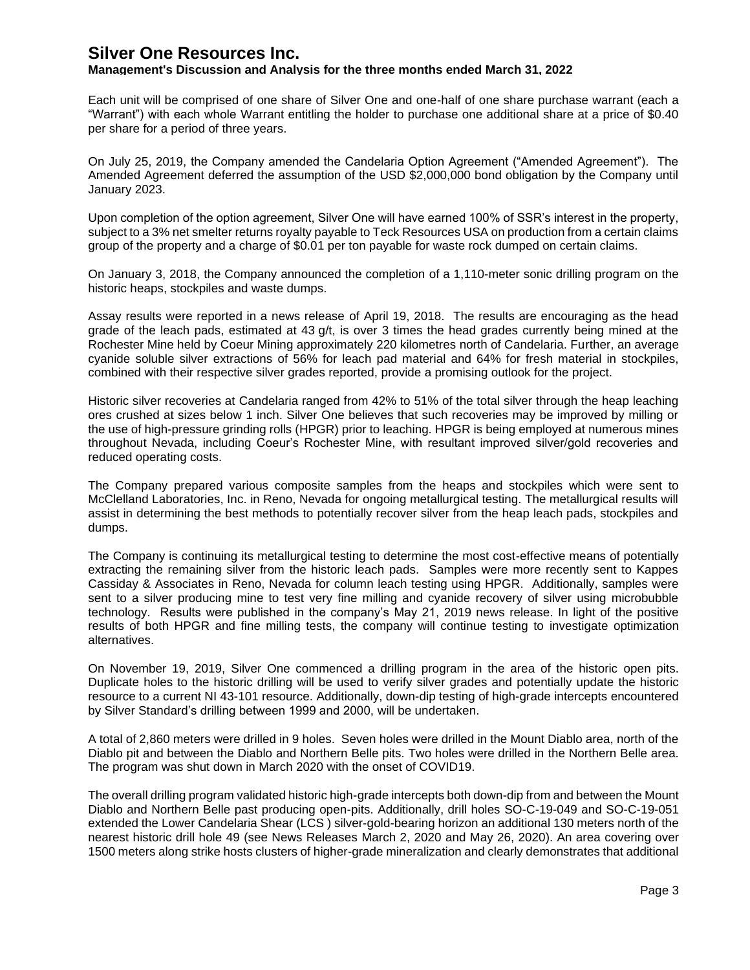## **Management's Discussion and Analysis for the three months ended March 31, 2022**

Each unit will be comprised of one share of Silver One and one-half of one share purchase warrant (each a "Warrant") with each whole Warrant entitling the holder to purchase one additional share at a price of \$0.40 per share for a period of three years.

On July 25, 2019, the Company amended the Candelaria Option Agreement ("Amended Agreement"). The Amended Agreement deferred the assumption of the USD \$2,000,000 bond obligation by the Company until January 2023.

Upon completion of the option agreement, Silver One will have earned 100% of SSR's interest in the property, subject to a 3% net smelter returns royalty payable to Teck Resources USA on production from a certain claims group of the property and a charge of \$0.01 per ton payable for waste rock dumped on certain claims.

On January 3, 2018, the Company announced the completion of a 1,110-meter sonic drilling program on the historic heaps, stockpiles and waste dumps.

Assay results were reported in a news release of April 19, 2018. The results are encouraging as the head grade of the leach pads, estimated at 43 g/t, is over 3 times the head grades currently being mined at the Rochester Mine held by Coeur Mining approximately 220 kilometres north of Candelaria. Further, an average cyanide soluble silver extractions of 56% for leach pad material and 64% for fresh material in stockpiles, combined with their respective silver grades reported, provide a promising outlook for the project.

Historic silver recoveries at Candelaria ranged from 42% to 51% of the total silver through the heap leaching ores crushed at sizes below 1 inch. Silver One believes that such recoveries may be improved by milling or the use of high-pressure grinding rolls (HPGR) prior to leaching. HPGR is being employed at numerous mines throughout Nevada, including Coeur's Rochester Mine, with resultant improved silver/gold recoveries and reduced operating costs.

The Company prepared various composite samples from the heaps and stockpiles which were sent to McClelland Laboratories, Inc. in Reno, Nevada for ongoing metallurgical testing. The metallurgical results will assist in determining the best methods to potentially recover silver from the heap leach pads, stockpiles and dumps.

The Company is continuing its metallurgical testing to determine the most cost-effective means of potentially extracting the remaining silver from the historic leach pads. Samples were more recently sent to Kappes Cassiday & Associates in Reno, Nevada for column leach testing using HPGR. Additionally, samples were sent to a silver producing mine to test very fine milling and cyanide recovery of silver using microbubble technology. Results were published in the company's May 21, 2019 news release. In light of the positive results of both HPGR and fine milling tests, the company will continue testing to investigate optimization alternatives.

On November 19, 2019, Silver One commenced a drilling program in the area of the historic open pits. Duplicate holes to the historic drilling will be used to verify silver grades and potentially update the historic resource to a current NI 43-101 resource. Additionally, down-dip testing of high-grade intercepts encountered by Silver Standard's drilling between 1999 and 2000, will be undertaken.

A total of 2,860 meters were drilled in 9 holes. Seven holes were drilled in the Mount Diablo area, north of the Diablo pit and between the Diablo and Northern Belle pits. Two holes were drilled in the Northern Belle area. The program was shut down in March 2020 with the onset of COVID19.

The overall drilling program validated historic high-grade intercepts both down-dip from and between the Mount Diablo and Northern Belle past producing open-pits. Additionally, drill holes SO-C-19-049 and SO-C-19-051 extended the Lower Candelaria Shear (LCS ) silver-gold-bearing horizon an additional 130 meters north of the nearest historic drill hole 49 (see News Releases March 2, 2020 and May 26, 2020). An area covering over 1500 meters along strike hosts clusters of higher-grade mineralization and clearly demonstrates that additional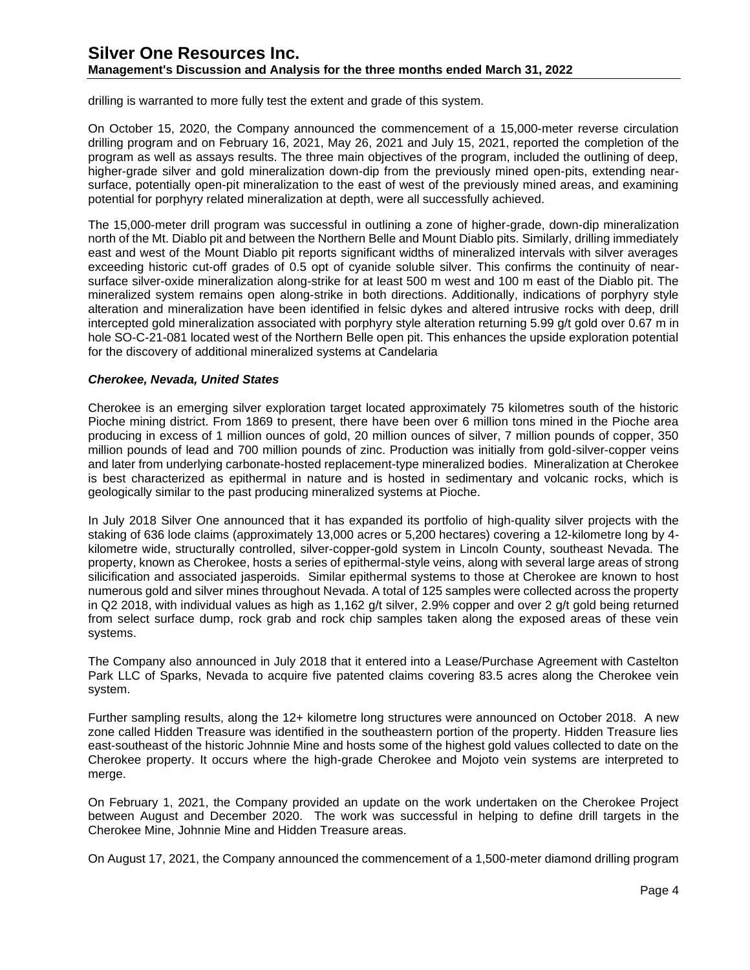drilling is warranted to more fully test the extent and grade of this system.

On October 15, 2020, the Company announced the commencement of a 15,000-meter reverse circulation drilling program and on February 16, 2021, May 26, 2021 and July 15, 2021, reported the completion of the program as well as assays results. The three main objectives of the program, included the outlining of deep, higher-grade silver and gold mineralization down-dip from the previously mined open-pits, extending nearsurface, potentially open-pit mineralization to the east of west of the previously mined areas, and examining potential for porphyry related mineralization at depth, were all successfully achieved.

The 15,000-meter drill program was successful in outlining a zone of higher-grade, down-dip mineralization north of the Mt. Diablo pit and between the Northern Belle and Mount Diablo pits. Similarly, drilling immediately east and west of the Mount Diablo pit reports significant widths of mineralized intervals with silver averages exceeding historic cut-off grades of 0.5 opt of cyanide soluble silver. This confirms the continuity of nearsurface silver-oxide mineralization along-strike for at least 500 m west and 100 m east of the Diablo pit. The mineralized system remains open along-strike in both directions. Additionally, indications of porphyry style alteration and mineralization have been identified in felsic dykes and altered intrusive rocks with deep, drill intercepted gold mineralization associated with porphyry style alteration returning 5.99 g/t gold over 0.67 m in hole SO-C-21-081 located west of the Northern Belle open pit. This enhances the upside exploration potential for the discovery of additional mineralized systems at Candelaria

#### *Cherokee, Nevada, United States*

Cherokee is an emerging silver exploration target located approximately 75 kilometres south of the historic Pioche mining district. From 1869 to present, there have been over 6 million tons mined in the Pioche area producing in excess of 1 million ounces of gold, 20 million ounces of silver, 7 million pounds of copper, 350 million pounds of lead and 700 million pounds of zinc. Production was initially from gold-silver-copper veins and later from underlying carbonate-hosted replacement-type mineralized bodies. Mineralization at Cherokee is best characterized as epithermal in nature and is hosted in sedimentary and volcanic rocks, which is geologically similar to the past producing mineralized systems at Pioche.

In July 2018 Silver One announced that it has expanded its portfolio of high-quality silver projects with the staking of 636 lode claims (approximately 13,000 acres or 5,200 hectares) covering a 12-kilometre long by 4 kilometre wide, structurally controlled, silver-copper-gold system in Lincoln County, southeast Nevada. The property, known as Cherokee, hosts a series of epithermal-style veins, along with several large areas of strong silicification and associated jasperoids. Similar epithermal systems to those at Cherokee are known to host numerous gold and silver mines throughout Nevada. A total of 125 samples were collected across the property in Q2 2018, with individual values as high as 1,162 g/t silver, 2.9% copper and over 2 g/t gold being returned from select surface dump, rock grab and rock chip samples taken along the exposed areas of these vein systems.

The Company also announced in July 2018 that it entered into a Lease/Purchase Agreement with Castelton Park LLC of Sparks, Nevada to acquire five patented claims covering 83.5 acres along the Cherokee vein system.

Further sampling results, along the 12+ kilometre long structures were announced on October 2018. A new zone called Hidden Treasure was identified in the southeastern portion of the property. Hidden Treasure lies east-southeast of the historic Johnnie Mine and hosts some of the highest gold values collected to date on the Cherokee property. It occurs where the high-grade Cherokee and Mojoto vein systems are interpreted to merge.

On February 1, 2021, the Company provided an update on the work undertaken on the Cherokee Project between August and December 2020. The work was successful in helping to define drill targets in the Cherokee Mine, Johnnie Mine and Hidden Treasure areas.

On August 17, 2021, the Company announced the commencement of a 1,500-meter diamond drilling program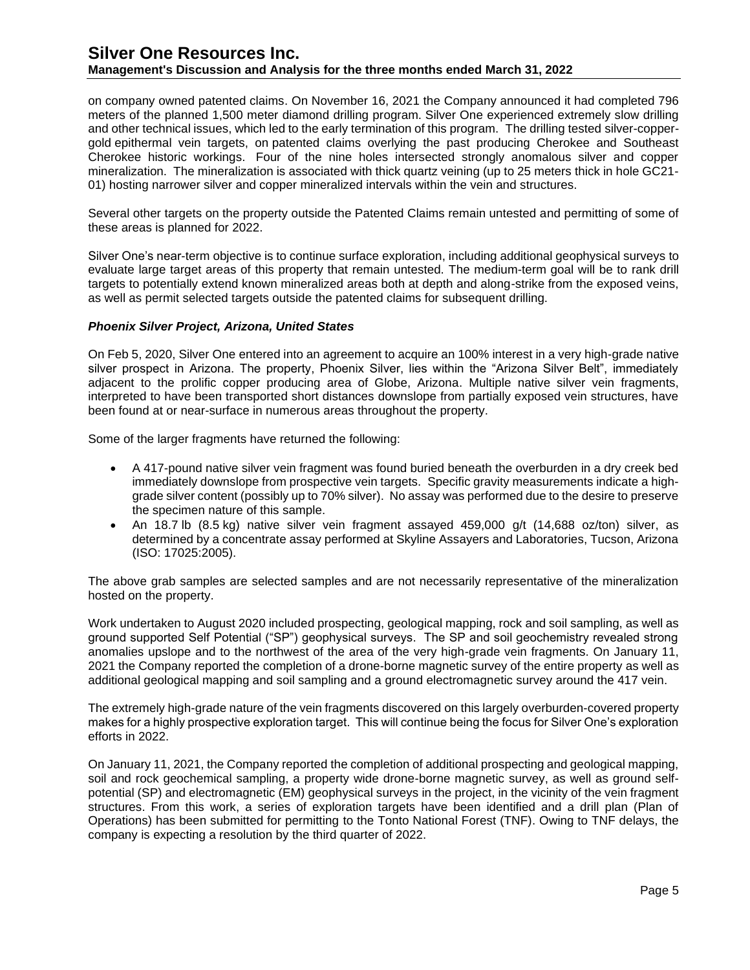on company owned patented claims. On November 16, 2021 the Company announced it had completed 796 meters of the planned 1,500 meter diamond drilling program. Silver One experienced extremely slow drilling and other technical issues, which led to the early termination of this program. The drilling tested silver-coppergold epithermal vein targets, on patented claims overlying the past producing Cherokee and Southeast Cherokee historic workings. Four of the nine holes intersected strongly anomalous silver and copper mineralization. The mineralization is associated with thick quartz veining (up to 25 meters thick in hole GC21- 01) hosting narrower silver and copper mineralized intervals within the vein and structures.

Several other targets on the property outside the Patented Claims remain untested and permitting of some of these areas is planned for 2022.

Silver One's near-term objective is to continue surface exploration, including additional geophysical surveys to evaluate large target areas of this property that remain untested. The medium-term goal will be to rank drill targets to potentially extend known mineralized areas both at depth and along-strike from the exposed veins, as well as permit selected targets outside the patented claims for subsequent drilling.

## *Phoenix Silver Project, Arizona, United States*

On Feb 5, 2020, Silver One entered into an agreement to acquire an 100% interest in a very high-grade native silver prospect in Arizona. The property, Phoenix Silver, lies within the "Arizona Silver Belt", immediately adjacent to the prolific copper producing area of Globe, Arizona. Multiple native silver vein fragments, interpreted to have been transported short distances downslope from partially exposed vein structures, have been found at or near-surface in numerous areas throughout the property.

Some of the larger fragments have returned the following:

- A 417-pound native silver vein fragment was found buried beneath the overburden in a dry creek bed immediately downslope from prospective vein targets. Specific gravity measurements indicate a highgrade silver content (possibly up to 70% silver). No assay was performed due to the desire to preserve the specimen nature of this sample.
- An 18.7 lb (8.5 kg) native silver vein fragment assayed 459,000 g/t (14,688 oz/ton) silver, as determined by a concentrate assay performed at Skyline Assayers and Laboratories, Tucson, Arizona (ISO: 17025:2005).

The above grab samples are selected samples and are not necessarily representative of the mineralization hosted on the property.

Work undertaken to August 2020 included prospecting, geological mapping, rock and soil sampling, as well as ground supported Self Potential ("SP") geophysical surveys. The SP and soil geochemistry revealed strong anomalies upslope and to the northwest of the area of the very high-grade vein fragments. On January 11, 2021 the Company reported the completion of a drone-borne magnetic survey of the entire property as well as additional geological mapping and soil sampling and a ground electromagnetic survey around the 417 vein.

The extremely high-grade nature of the vein fragments discovered on this largely overburden-covered property makes for a highly prospective exploration target. This will continue being the focus for Silver One's exploration efforts in 2022.

On January 11, 2021, the Company reported the completion of additional prospecting and geological mapping, soil and rock geochemical sampling, a property wide drone-borne magnetic survey, as well as ground selfpotential (SP) and electromagnetic (EM) geophysical surveys in the project, in the vicinity of the vein fragment structures. From this work, a series of exploration targets have been identified and a drill plan (Plan of Operations) has been submitted for permitting to the Tonto National Forest (TNF). Owing to TNF delays, the company is expecting a resolution by the third quarter of 2022.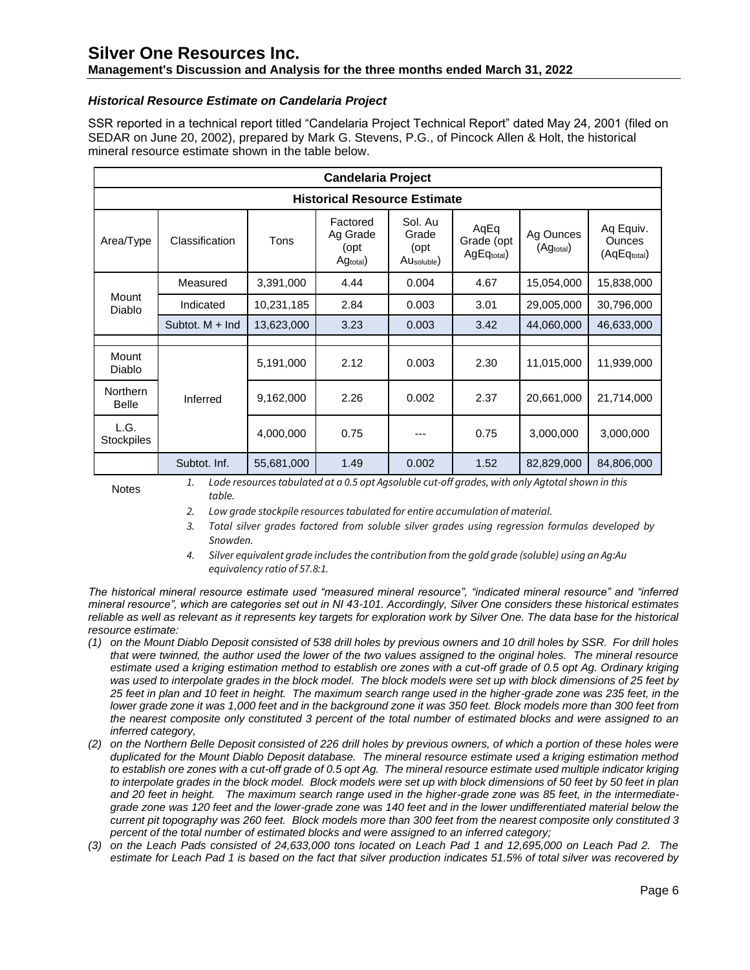## **Management's Discussion and Analysis for the three months ended March 31, 2022**

## *Historical Resource Estimate on Candelaria Project*

SSR reported in a technical report titled "Candelaria Project Technical Report" dated May 24, 2001 (filed on SEDAR on June 20, 2002), prepared by Mark G. Stevens, P.G., of Pincock Allen & Holt, the historical mineral resource estimate shown in the table below.

| <b>Candelaria Project</b>           |                   |            |                                          |                                                      |                                  |                        |                                           |  |
|-------------------------------------|-------------------|------------|------------------------------------------|------------------------------------------------------|----------------------------------|------------------------|-------------------------------------------|--|
| <b>Historical Resource Estimate</b> |                   |            |                                          |                                                      |                                  |                        |                                           |  |
| Area/Type                           | Classification    | Tons       | Factored<br>Ag Grade<br>(opt<br>Agtotal) | Sol. Au<br>Grade<br>(opt)<br>AU <sub>soluble</sub> ) | AqEq<br>Grade (opt<br>AgEqtotal) | Ag Ounces<br>(Agtotal) | Aq Equiv.<br><b>Ounces</b><br>(AqEqtotal) |  |
| Mount<br>Diablo                     | Measured          | 3,391,000  | 4.44                                     | 0.004                                                | 4.67                             | 15,054,000             | 15,838,000                                |  |
|                                     | Indicated         | 10,231,185 | 2.84                                     | 0.003                                                | 3.01                             | 29,005,000             | 30,796,000                                |  |
|                                     | Subtot, $M + Ind$ | 13,623,000 | 3.23                                     | 0.003                                                | 3.42                             | 44,060,000             | 46,633,000                                |  |
|                                     |                   |            |                                          |                                                      |                                  |                        |                                           |  |
| Mount<br>Diablo                     |                   | 5,191,000  | 2.12                                     | 0.003                                                | 2.30                             | 11,015,000             | 11,939,000                                |  |
| <b>Northern</b><br><b>Belle</b>     | Inferred          | 9,162,000  | 2.26                                     | 0.002                                                | 2.37                             | 20,661,000             | 21,714,000                                |  |
| L.G.<br><b>Stockpiles</b>           |                   | 4,000,000  | 0.75                                     |                                                      | 0.75                             | 3,000,000              | 3,000,000                                 |  |
|                                     | Subtot. Inf.      | 55,681,000 | 1.49                                     | 0.002                                                | 1.52                             | 82,829,000             | 84,806,000                                |  |

Notes *1. Lode resources tabulated at a 0.5 opt Agsoluble cut-off grades, with only Agtotal shown in this table.*

*2. Low grade stockpile resources tabulated for entire accumulation of material.*

- *3. Total silver grades factored from soluble silver grades using regression formulas developed by Snowden.*
- *4. Silver equivalent grade includes the contribution from the gold grade (soluble) using an Ag:Au equivalency ratio of 57.8:1.*

*The historical mineral resource estimate used "measured mineral resource", "indicated mineral resource" and "inferred mineral resource", which are categories set out in NI 43-101. Accordingly, Silver One considers these historical estimates reliable as well as relevant as it represents key targets for exploration work by Silver One. The data base for the historical resource estimate:* 

- *(1) on the Mount Diablo Deposit consisted of 538 drill holes by previous owners and 10 drill holes by SSR. For drill holes that were twinned, the author used the lower of the two values assigned to the original holes. The mineral resource estimate used a kriging estimation method to establish ore zones with a cut-off grade of 0.5 opt Ag. Ordinary kriging was used to interpolate grades in the block model. The block models were set up with block dimensions of 25 feet by 25 feet in plan and 10 feet in height. The maximum search range used in the higher-grade zone was 235 feet, in the lower grade zone it was 1,000 feet and in the background zone it was 350 feet. Block models more than 300 feet from the nearest composite only constituted 3 percent of the total number of estimated blocks and were assigned to an inferred category,*
- *(2) on the Northern Belle Deposit consisted of 226 drill holes by previous owners, of which a portion of these holes were duplicated for the Mount Diablo Deposit database. The mineral resource estimate used a kriging estimation method to establish ore zones with a cut-off grade of 0.5 opt Ag. The mineral resource estimate used multiple indicator kriging to interpolate grades in the block model. Block models were set up with block dimensions of 50 feet by 50 feet in plan and 20 feet in height. The maximum search range used in the higher-grade zone was 85 feet, in the intermediategrade zone was 120 feet and the lower-grade zone was 140 feet and in the lower undifferentiated material below the current pit topography was 260 feet. Block models more than 300 feet from the nearest composite only constituted 3 percent of the total number of estimated blocks and were assigned to an inferred category;*
- *(3) on the Leach Pads consisted of 24,633,000 tons located on Leach Pad 1 and 12,695,000 on Leach Pad 2. The estimate for Leach Pad 1 is based on the fact that silver production indicates 51.5% of total silver was recovered by*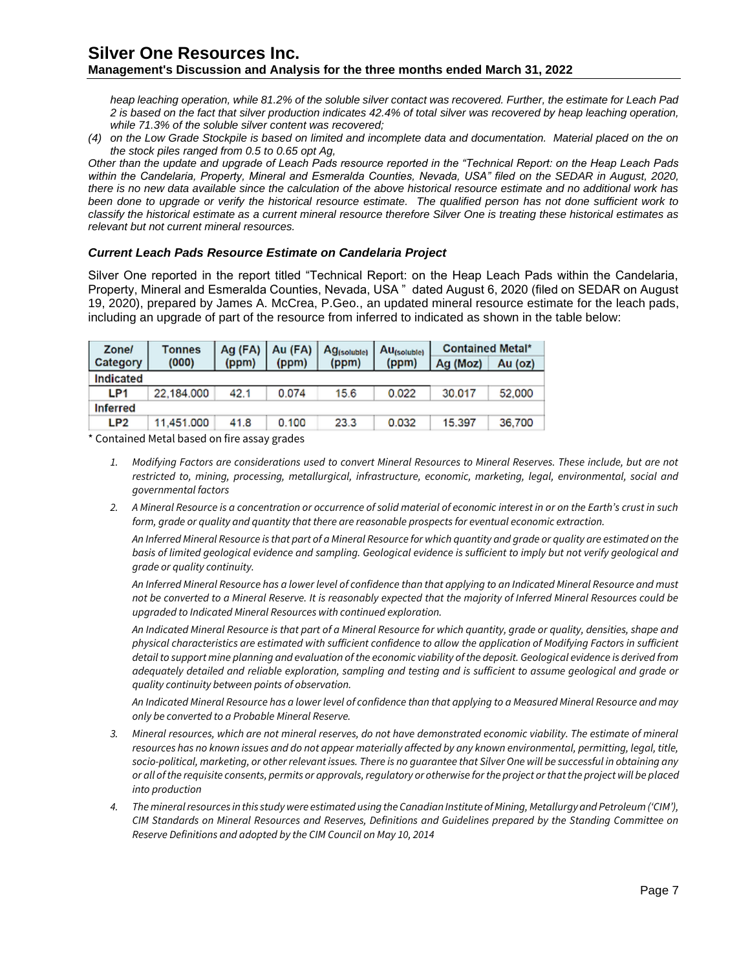*heap leaching operation, while 81.2% of the soluble silver contact was recovered. Further, the estimate for Leach Pad 2 is based on the fact that silver production indicates 42.4% of total silver was recovered by heap leaching operation, while 71.3% of the soluble silver content was recovered;*

*(4) on the Low Grade Stockpile is based on limited and incomplete data and documentation. Material placed on the on the stock piles ranged from 0.5 to 0.65 opt Ag,*

*Other than the update and upgrade of Leach Pads resource reported in the "Technical Report: on the Heap Leach Pads*  within the Candelaria, Property, Mineral and Esmeralda Counties, Nevada, USA" filed on the SEDAR in August, 2020, *there is no new data available since the calculation of the above historical resource estimate and no additional work has been done to upgrade or verify the historical resource estimate. The qualified person has not done sufficient work to classify the historical estimate as a current mineral resource therefore Silver One is treating these historical estimates as relevant but not current mineral resources.*

## *Current Leach Pads Resource Estimate on Candelaria Project*

Silver One reported in the report titled "Technical Report: on the Heap Leach Pads within the Candelaria, Property, Mineral and Esmeralda Counties, Nevada, USA " dated August 6, 2020 (filed on SEDAR on August 19, 2020), prepared by James A. McCrea, P.Geo., an updated mineral resource estimate for the leach pads, including an upgrade of part of the resource from inferred to indicated as shown in the table below:

| <b>Zone/</b>    | Tonnes     | Ag $(FA)$   Au $(FA)$ |       | Ag <sub>(soluble)</sub> | Au <sub>(soluble)</sub> | <b>Contained Metal*</b> |         |  |
|-----------------|------------|-----------------------|-------|-------------------------|-------------------------|-------------------------|---------|--|
| Category        | (000)      | (ppm)                 | (ppm) | (ppm)                   | (ppm)                   | Ag (Moz)                | Au (oz) |  |
| Indicated       |            |                       |       |                         |                         |                         |         |  |
| LP1             | 22.184.000 | 42.1                  | 0.074 | 15.6                    | 0.022                   | 30,017                  | 52,000  |  |
| <b>Inferred</b> |            |                       |       |                         |                         |                         |         |  |
| LP <sub>2</sub> | 11,451.000 | 41.8                  | 0.100 | 23.3                    | 0.032                   | 15.397                  | 36,700  |  |

\* Contained Metal based on fire assay grades

- *1. Modifying Factors are considerations used to convert Mineral Resources to Mineral Reserves. These include, but are not restricted to, mining, processing, metallurgical, infrastructure, economic, marketing, legal, environmental, social and governmental factors*
- *2. A Mineral Resource is a concentration or occurrence of solid material of economic interest in or on the Earth's crust in such form, grade or quality and quantity that there are reasonable prospects for eventual economic extraction.*

*An Inferred Mineral Resource is that part of a Mineral Resource for which quantity and grade or quality are estimated on the*  basis of limited geological evidence and sampling. Geological evidence is sufficient to imply but not verify geological and *grade or quality continuity.*

*An Inferred Mineral Resource has a lower level of confidence than that applying to an Indicated Mineral Resource and must not be converted to a Mineral Reserve. It is reasonably expected that the majority of Inferred Mineral Resources could be upgraded to Indicated Mineral Resources with continued exploration.*

*An Indicated Mineral Resource is that part of a Mineral Resource for which quantity, grade or quality, densities, shape and physical characteristics are estimated with sufficient confidence to allow the application of Modifying Factors in sufficient detail to support mine planning and evaluation of the economic viability of the deposit. Geological evidence is derived from adequately detailed and reliable exploration, sampling and testing and is sufficient to assume geological and grade or quality continuity between points of observation.*

*An Indicated Mineral Resource has a lower level of confidence than that applying to a Measured Mineral Resource and may only be converted to a Probable Mineral Reserve.*

- *3. Mineral resources, which are not mineral reserves, do not have demonstrated economic viability. The estimate of mineral*  resources has no known issues and do not appear materially affected by any known environmental, permitting, legal, title, *socio-political, marketing, or other relevant issues. There is no guarantee that Silver One will be successful in obtaining any or all of the requisite consents, permits or approvals, regulatory or otherwise for the project or that the project will be placed into production*
- *4. The mineral resources in this study were estimated using the Canadian Institute of Mining, Metallurgy and Petroleum ('CIM'), CIM Standards on Mineral Resources and Reserves, Definitions and Guidelines prepared by the Standing Committee on Reserve Definitions and adopted by the CIM Council on May 10, 2014*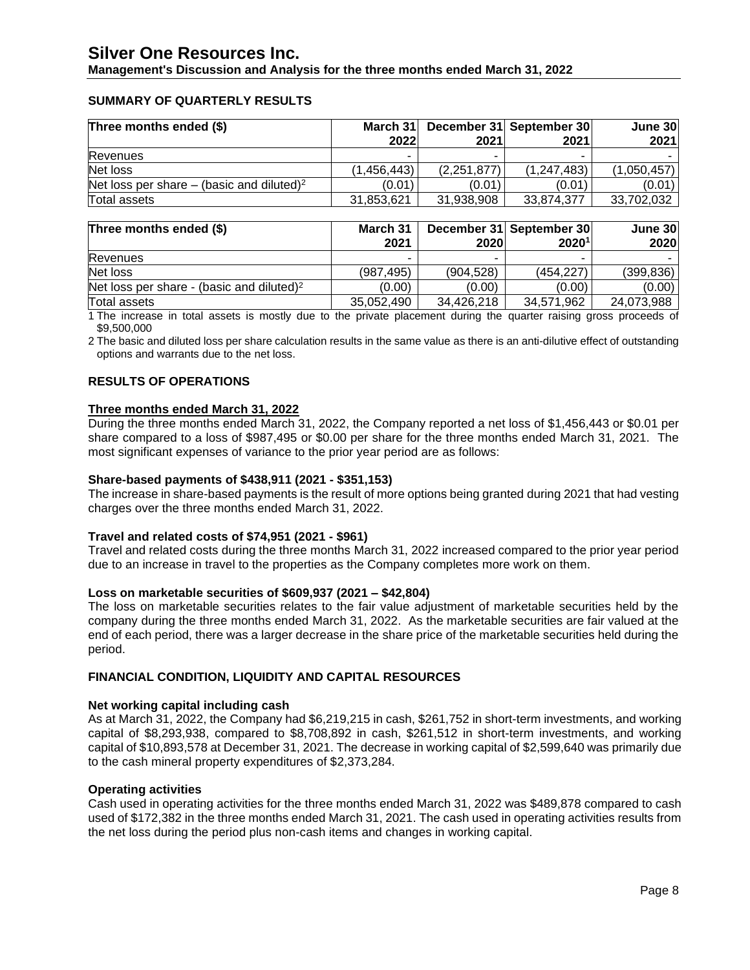**Management's Discussion and Analysis for the three months ended March 31, 2022**

## **SUMMARY OF QUARTERLY RESULTS**

| Three months ended (\$)                               | March 31    |             | December 31 September 30 | June 30     |
|-------------------------------------------------------|-------------|-------------|--------------------------|-------------|
|                                                       | 2022        | 2021        | 2021                     | 2021        |
| <b>Revenues</b>                                       | -           |             |                          |             |
| Net loss                                              | (1.456.443) | (2,251,877) | (1, 247, 483)            | (1,050,457) |
| Net loss per share – (basic and diluted) <sup>2</sup> | (0.01)      | (0.01)      | (0.01)                   | (0.01)      |
| Total assets                                          | 31,853,621  | 31,938,908  | 33.874.377               | 33,702,032  |

| Three months ended (\$)                               | March 31<br>2021 | 2020       | December 31 September 30<br>2020 <sup>1</sup> | June 30<br>2020 |
|-------------------------------------------------------|------------------|------------|-----------------------------------------------|-----------------|
| Revenues                                              | -                |            | -                                             |                 |
| Net loss                                              | (987.495)        | (904.528)  | (454.227)                                     | (399, 836)      |
| Net loss per share - (basic and diluted) <sup>2</sup> | (0.00)           | (0.00)     | (0.00)                                        | (0.00)          |
| Total assets                                          | 35,052,490       | 34,426,218 | 34,571,962                                    | 24,073,988      |

1 The increase in total assets is mostly due to the private placement during the quarter raising gross proceeds of \$9,500,000

2 The basic and diluted loss per share calculation results in the same value as there is an anti-dilutive effect of outstanding options and warrants due to the net loss.

## **RESULTS OF OPERATIONS**

## **Three months ended March 31, 2022**

During the three months ended March 31, 2022, the Company reported a net loss of \$1,456,443 or \$0.01 per share compared to a loss of \$987,495 or \$0.00 per share for the three months ended March 31, 2021. The most significant expenses of variance to the prior year period are as follows:

## **Share-based payments of \$438,911 (2021 - \$351,153)**

The increase in share-based payments is the result of more options being granted during 2021 that had vesting charges over the three months ended March 31, 2022.

## **Travel and related costs of \$74,951 (2021 - \$961)**

Travel and related costs during the three months March 31, 2022 increased compared to the prior year period due to an increase in travel to the properties as the Company completes more work on them.

## **Loss on marketable securities of \$609,937 (2021 – \$42,804)**

The loss on marketable securities relates to the fair value adjustment of marketable securities held by the company during the three months ended March 31, 2022. As the marketable securities are fair valued at the end of each period, there was a larger decrease in the share price of the marketable securities held during the period.

## **FINANCIAL CONDITION, LIQUIDITY AND CAPITAL RESOURCES**

#### **Net working capital including cash**

As at March 31, 2022, the Company had \$6,219,215 in cash, \$261,752 in short-term investments, and working capital of \$8,293,938, compared to \$8,708,892 in cash, \$261,512 in short-term investments, and working capital of \$10,893,578 at December 31, 2021. The decrease in working capital of \$2,599,640 was primarily due to the cash mineral property expenditures of \$2,373,284.

#### **Operating activities**

Cash used in operating activities for the three months ended March 31, 2022 was \$489,878 compared to cash used of \$172,382 in the three months ended March 31, 2021. The cash used in operating activities results from the net loss during the period plus non-cash items and changes in working capital.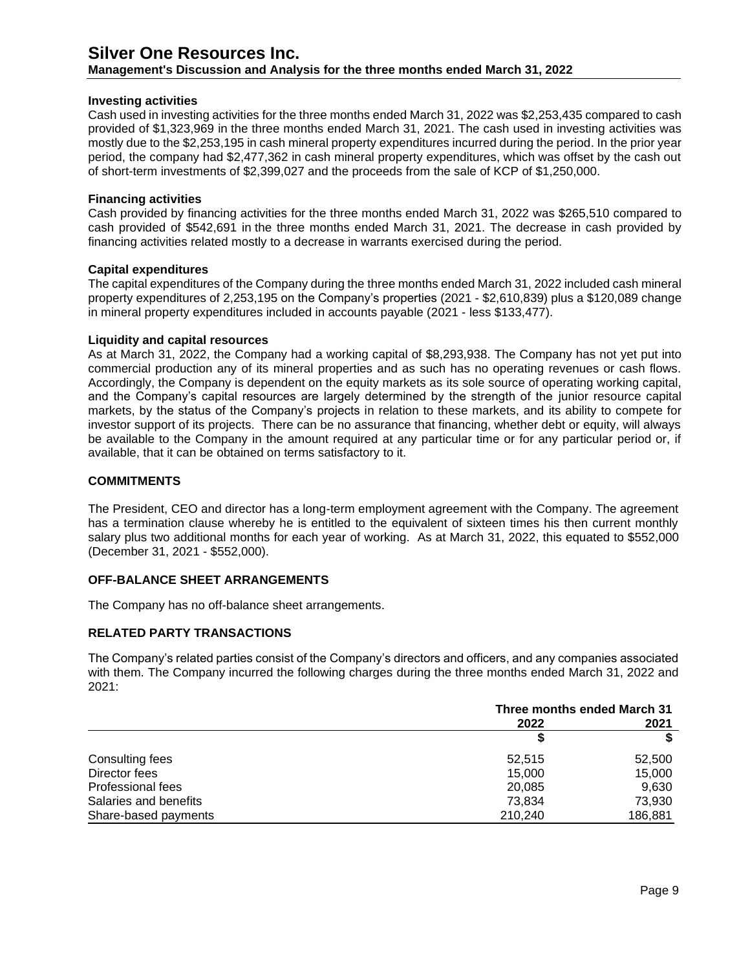**Management's Discussion and Analysis for the three months ended March 31, 2022**

## **Investing activities**

Cash used in investing activities for the three months ended March 31, 2022 was \$2,253,435 compared to cash provided of \$1,323,969 in the three months ended March 31, 2021. The cash used in investing activities was mostly due to the \$2,253,195 in cash mineral property expenditures incurred during the period. In the prior year period, the company had \$2,477,362 in cash mineral property expenditures, which was offset by the cash out of short-term investments of \$2,399,027 and the proceeds from the sale of KCP of \$1,250,000.

#### **Financing activities**

Cash provided by financing activities for the three months ended March 31, 2022 was \$265,510 compared to cash provided of \$542,691 in the three months ended March 31, 2021. The decrease in cash provided by financing activities related mostly to a decrease in warrants exercised during the period.

#### **Capital expenditures**

The capital expenditures of the Company during the three months ended March 31, 2022 included cash mineral property expenditures of 2,253,195 on the Company's properties (2021 - \$2,610,839) plus a \$120,089 change in mineral property expenditures included in accounts payable (2021 - less \$133,477).

#### **Liquidity and capital resources**

As at March 31, 2022, the Company had a working capital of \$8,293,938. The Company has not yet put into commercial production any of its mineral properties and as such has no operating revenues or cash flows. Accordingly, the Company is dependent on the equity markets as its sole source of operating working capital, and the Company's capital resources are largely determined by the strength of the junior resource capital markets, by the status of the Company's projects in relation to these markets, and its ability to compete for investor support of its projects. There can be no assurance that financing, whether debt or equity, will always be available to the Company in the amount required at any particular time or for any particular period or, if available, that it can be obtained on terms satisfactory to it.

## **COMMITMENTS**

The President, CEO and director has a long-term employment agreement with the Company. The agreement has a termination clause whereby he is entitled to the equivalent of sixteen times his then current monthly salary plus two additional months for each year of working. As at March 31, 2022, this equated to \$552,000 (December 31, 2021 - \$552,000).

## **OFF-BALANCE SHEET ARRANGEMENTS**

The Company has no off-balance sheet arrangements.

## **RELATED PARTY TRANSACTIONS**

The Company's related parties consist of the Company's directors and officers, and any companies associated with them. The Company incurred the following charges during the three months ended March 31, 2022 and 2021:

|                          | Three months ended March 31 |         |  |
|--------------------------|-----------------------------|---------|--|
|                          | 2022                        | 2021    |  |
|                          |                             |         |  |
| Consulting fees          | 52,515                      | 52,500  |  |
| Director fees            | 15,000                      | 15,000  |  |
| <b>Professional fees</b> | 20,085                      | 9,630   |  |
| Salaries and benefits    | 73.834                      | 73.930  |  |
| Share-based payments     | 210,240                     | 186,881 |  |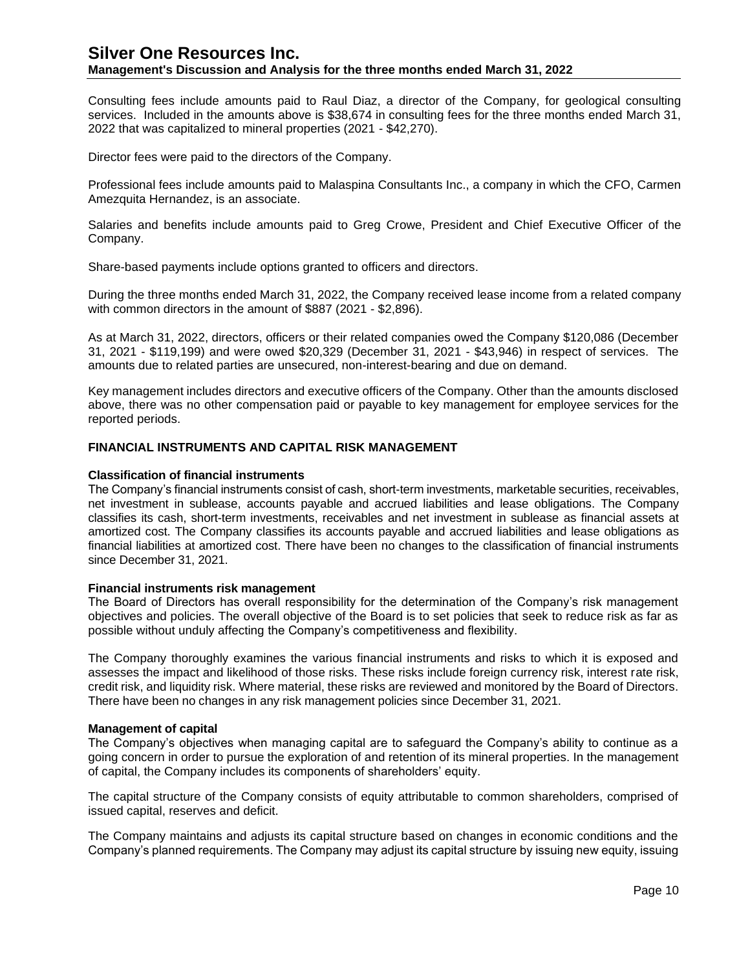## **Management's Discussion and Analysis for the three months ended March 31, 2022**

Consulting fees include amounts paid to Raul Diaz, a director of the Company, for geological consulting services. Included in the amounts above is \$38,674 in consulting fees for the three months ended March 31, 2022 that was capitalized to mineral properties (2021 - \$42,270).

Director fees were paid to the directors of the Company.

Professional fees include amounts paid to Malaspina Consultants Inc., a company in which the CFO, Carmen Amezquita Hernandez, is an associate.

Salaries and benefits include amounts paid to Greg Crowe, President and Chief Executive Officer of the Company.

Share-based payments include options granted to officers and directors.

During the three months ended March 31, 2022, the Company received lease income from a related company with common directors in the amount of \$887 (2021 - \$2,896).

As at March 31, 2022, directors, officers or their related companies owed the Company \$120,086 (December 31, 2021 - \$119,199) and were owed \$20,329 (December 31, 2021 - \$43,946) in respect of services. The amounts due to related parties are unsecured, non-interest-bearing and due on demand.

Key management includes directors and executive officers of the Company. Other than the amounts disclosed above, there was no other compensation paid or payable to key management for employee services for the reported periods.

## **FINANCIAL INSTRUMENTS AND CAPITAL RISK MANAGEMENT**

#### **Classification of financial instruments**

The Company's financial instruments consist of cash, short-term investments, marketable securities, receivables, net investment in sublease, accounts payable and accrued liabilities and lease obligations. The Company classifies its cash, short-term investments, receivables and net investment in sublease as financial assets at amortized cost. The Company classifies its accounts payable and accrued liabilities and lease obligations as financial liabilities at amortized cost. There have been no changes to the classification of financial instruments since December 31, 2021.

#### **Financial instruments risk management**

The Board of Directors has overall responsibility for the determination of the Company's risk management objectives and policies. The overall objective of the Board is to set policies that seek to reduce risk as far as possible without unduly affecting the Company's competitiveness and flexibility.

The Company thoroughly examines the various financial instruments and risks to which it is exposed and assesses the impact and likelihood of those risks. These risks include foreign currency risk, interest rate risk, credit risk, and liquidity risk. Where material, these risks are reviewed and monitored by the Board of Directors. There have been no changes in any risk management policies since December 31, 2021.

#### **Management of capital**

The Company's objectives when managing capital are to safeguard the Company's ability to continue as a going concern in order to pursue the exploration of and retention of its mineral properties. In the management of capital, the Company includes its components of shareholders' equity.

The capital structure of the Company consists of equity attributable to common shareholders, comprised of issued capital, reserves and deficit.

The Company maintains and adjusts its capital structure based on changes in economic conditions and the Company's planned requirements. The Company may adjust its capital structure by issuing new equity, issuing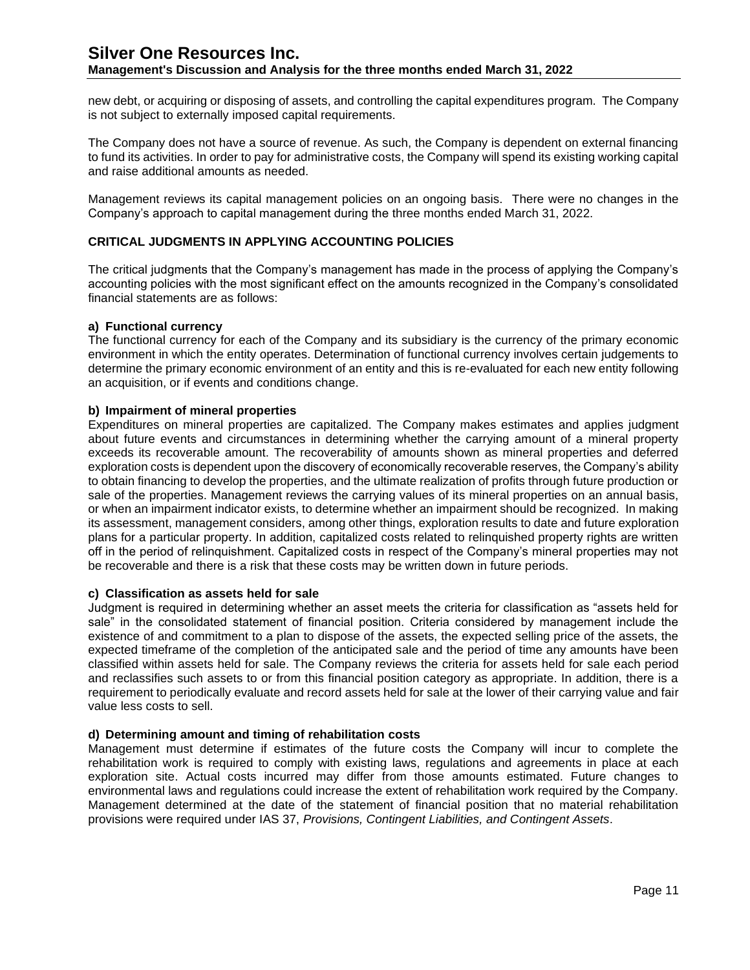new debt, or acquiring or disposing of assets, and controlling the capital expenditures program. The Company is not subject to externally imposed capital requirements.

The Company does not have a source of revenue. As such, the Company is dependent on external financing to fund its activities. In order to pay for administrative costs, the Company will spend its existing working capital and raise additional amounts as needed.

Management reviews its capital management policies on an ongoing basis. There were no changes in the Company's approach to capital management during the three months ended March 31, 2022.

## **CRITICAL JUDGMENTS IN APPLYING ACCOUNTING POLICIES**

The critical judgments that the Company's management has made in the process of applying the Company's accounting policies with the most significant effect on the amounts recognized in the Company's consolidated financial statements are as follows:

#### **a) Functional currency**

The functional currency for each of the Company and its subsidiary is the currency of the primary economic environment in which the entity operates. Determination of functional currency involves certain judgements to determine the primary economic environment of an entity and this is re-evaluated for each new entity following an acquisition, or if events and conditions change.

#### **b) Impairment of mineral properties**

Expenditures on mineral properties are capitalized. The Company makes estimates and applies judgment about future events and circumstances in determining whether the carrying amount of a mineral property exceeds its recoverable amount. The recoverability of amounts shown as mineral properties and deferred exploration costs is dependent upon the discovery of economically recoverable reserves, the Company's ability to obtain financing to develop the properties, and the ultimate realization of profits through future production or sale of the properties. Management reviews the carrying values of its mineral properties on an annual basis, or when an impairment indicator exists, to determine whether an impairment should be recognized. In making its assessment, management considers, among other things, exploration results to date and future exploration plans for a particular property. In addition, capitalized costs related to relinquished property rights are written off in the period of relinquishment. Capitalized costs in respect of the Company's mineral properties may not be recoverable and there is a risk that these costs may be written down in future periods.

## **c) Classification as assets held for sale**

Judgment is required in determining whether an asset meets the criteria for classification as "assets held for sale" in the consolidated statement of financial position. Criteria considered by management include the existence of and commitment to a plan to dispose of the assets, the expected selling price of the assets, the expected timeframe of the completion of the anticipated sale and the period of time any amounts have been classified within assets held for sale. The Company reviews the criteria for assets held for sale each period and reclassifies such assets to or from this financial position category as appropriate. In addition, there is a requirement to periodically evaluate and record assets held for sale at the lower of their carrying value and fair value less costs to sell.

## **d) Determining amount and timing of rehabilitation costs**

Management must determine if estimates of the future costs the Company will incur to complete the rehabilitation work is required to comply with existing laws, regulations and agreements in place at each exploration site. Actual costs incurred may differ from those amounts estimated. Future changes to environmental laws and regulations could increase the extent of rehabilitation work required by the Company. Management determined at the date of the statement of financial position that no material rehabilitation provisions were required under IAS 37, *Provisions, Contingent Liabilities, and Contingent Assets*.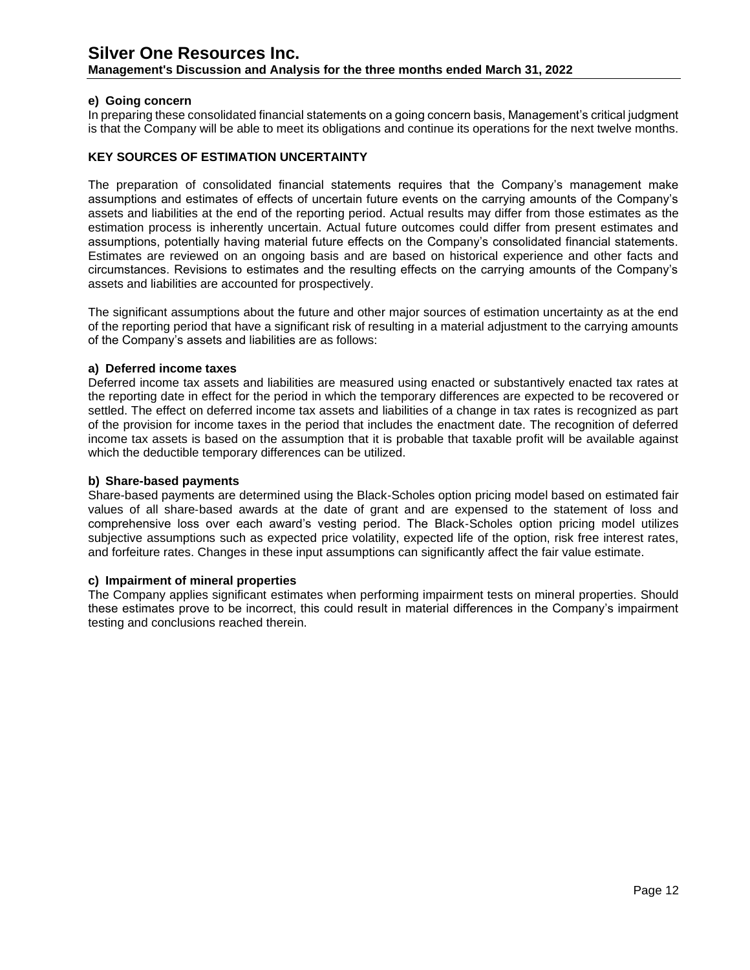**Management's Discussion and Analysis for the three months ended March 31, 2022**

## **e) Going concern**

In preparing these consolidated financial statements on a going concern basis, Management's critical judgment is that the Company will be able to meet its obligations and continue its operations for the next twelve months.

## **KEY SOURCES OF ESTIMATION UNCERTAINTY**

The preparation of consolidated financial statements requires that the Company's management make assumptions and estimates of effects of uncertain future events on the carrying amounts of the Company's assets and liabilities at the end of the reporting period. Actual results may differ from those estimates as the estimation process is inherently uncertain. Actual future outcomes could differ from present estimates and assumptions, potentially having material future effects on the Company's consolidated financial statements. Estimates are reviewed on an ongoing basis and are based on historical experience and other facts and circumstances. Revisions to estimates and the resulting effects on the carrying amounts of the Company's assets and liabilities are accounted for prospectively.

The significant assumptions about the future and other major sources of estimation uncertainty as at the end of the reporting period that have a significant risk of resulting in a material adjustment to the carrying amounts of the Company's assets and liabilities are as follows:

## **a) Deferred income taxes**

Deferred income tax assets and liabilities are measured using enacted or substantively enacted tax rates at the reporting date in effect for the period in which the temporary differences are expected to be recovered or settled. The effect on deferred income tax assets and liabilities of a change in tax rates is recognized as part of the provision for income taxes in the period that includes the enactment date. The recognition of deferred income tax assets is based on the assumption that it is probable that taxable profit will be available against which the deductible temporary differences can be utilized.

#### **b) Share-based payments**

Share-based payments are determined using the Black‐Scholes option pricing model based on estimated fair values of all share‐based awards at the date of grant and are expensed to the statement of loss and comprehensive loss over each award's vesting period. The Black‐Scholes option pricing model utilizes subjective assumptions such as expected price volatility, expected life of the option, risk free interest rates, and forfeiture rates. Changes in these input assumptions can significantly affect the fair value estimate.

## **c) Impairment of mineral properties**

The Company applies significant estimates when performing impairment tests on mineral properties. Should these estimates prove to be incorrect, this could result in material differences in the Company's impairment testing and conclusions reached therein.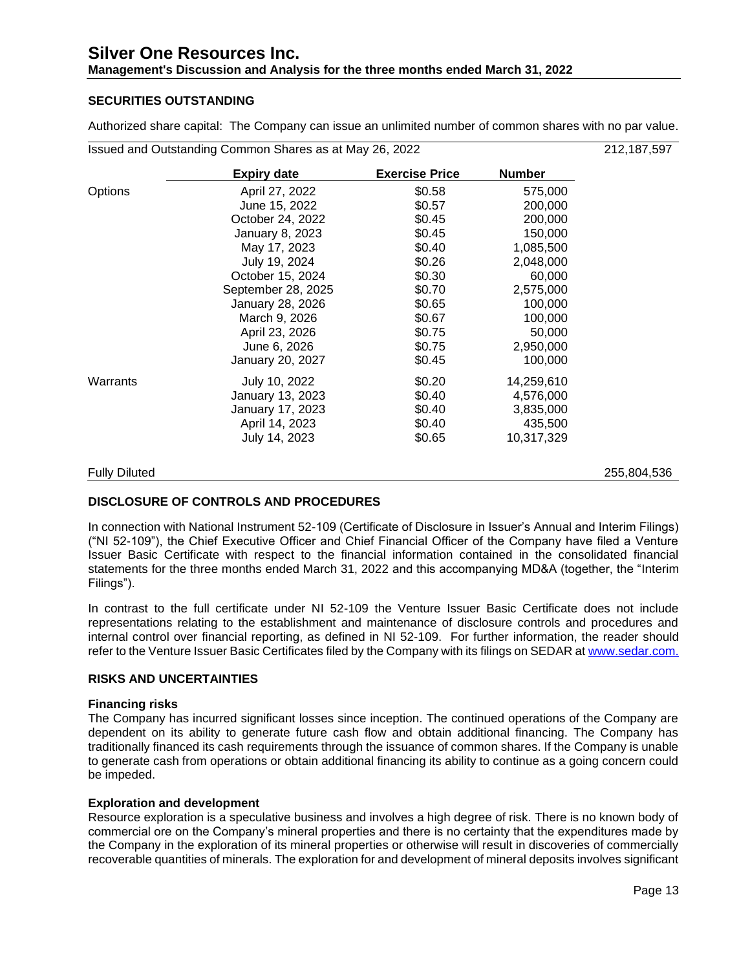## **Management's Discussion and Analysis for the three months ended March 31, 2022**

## **SECURITIES OUTSTANDING**

Authorized share capital: The Company can issue an unlimited number of common shares with no par value.

Issued and Outstanding Common Shares as at May 26, 2022 212,187,597

|                      | <b>Expiry date</b> | <b>Exercise Price</b> | <b>Number</b> |             |
|----------------------|--------------------|-----------------------|---------------|-------------|
| Options              | April 27, 2022     | \$0.58                | 575,000       |             |
|                      | June 15, 2022      | \$0.57                | 200,000       |             |
|                      | October 24, 2022   | \$0.45                | 200,000       |             |
|                      | January 8, 2023    | \$0.45                | 150,000       |             |
|                      | May 17, 2023       | \$0.40                | 1,085,500     |             |
|                      | July 19, 2024      | \$0.26                | 2,048,000     |             |
|                      | October 15, 2024   | \$0.30                | 60,000        |             |
|                      | September 28, 2025 | \$0.70                | 2,575,000     |             |
|                      | January 28, 2026   | \$0.65                | 100,000       |             |
|                      | March 9, 2026      | \$0.67                | 100,000       |             |
|                      | April 23, 2026     | \$0.75                | 50,000        |             |
|                      | June 6, 2026       | \$0.75                | 2,950,000     |             |
|                      | January 20, 2027   | \$0.45                | 100,000       |             |
| Warrants             | July 10, 2022      | \$0.20                | 14,259,610    |             |
|                      | January 13, 2023   | \$0.40                | 4,576,000     |             |
|                      | January 17, 2023   | \$0.40                | 3,835,000     |             |
|                      | April 14, 2023     | \$0.40                | 435,500       |             |
|                      | July 14, 2023      | \$0.65                | 10,317,329    |             |
| <b>Fully Diluted</b> |                    |                       |               | 255,804,536 |

## **DISCLOSURE OF CONTROLS AND PROCEDURES**

In connection with National Instrument 52-109 (Certificate of Disclosure in Issuer's Annual and Interim Filings) ("NI 52-109"), the Chief Executive Officer and Chief Financial Officer of the Company have filed a Venture Issuer Basic Certificate with respect to the financial information contained in the consolidated financial statements for the three months ended March 31, 2022 and this accompanying MD&A (together, the "Interim Filings").

In contrast to the full certificate under NI 52-109 the Venture Issuer Basic Certificate does not include representations relating to the establishment and maintenance of disclosure controls and procedures and internal control over financial reporting, as defined in NI 52-109. For further information, the reader should refer to the Venture Issuer Basic Certificates filed by the Company with its filings on SEDAR a[t www.sedar.com.](http://www.sedar.com/)

## **RISKS AND UNCERTAINTIES**

## **Financing risks**

The Company has incurred significant losses since inception. The continued operations of the Company are dependent on its ability to generate future cash flow and obtain additional financing. The Company has traditionally financed its cash requirements through the issuance of common shares. If the Company is unable to generate cash from operations or obtain additional financing its ability to continue as a going concern could be impeded.

## **Exploration and development**

Resource exploration is a speculative business and involves a high degree of risk. There is no known body of commercial ore on the Company's mineral properties and there is no certainty that the expenditures made by the Company in the exploration of its mineral properties or otherwise will result in discoveries of commercially recoverable quantities of minerals. The exploration for and development of mineral deposits involves significant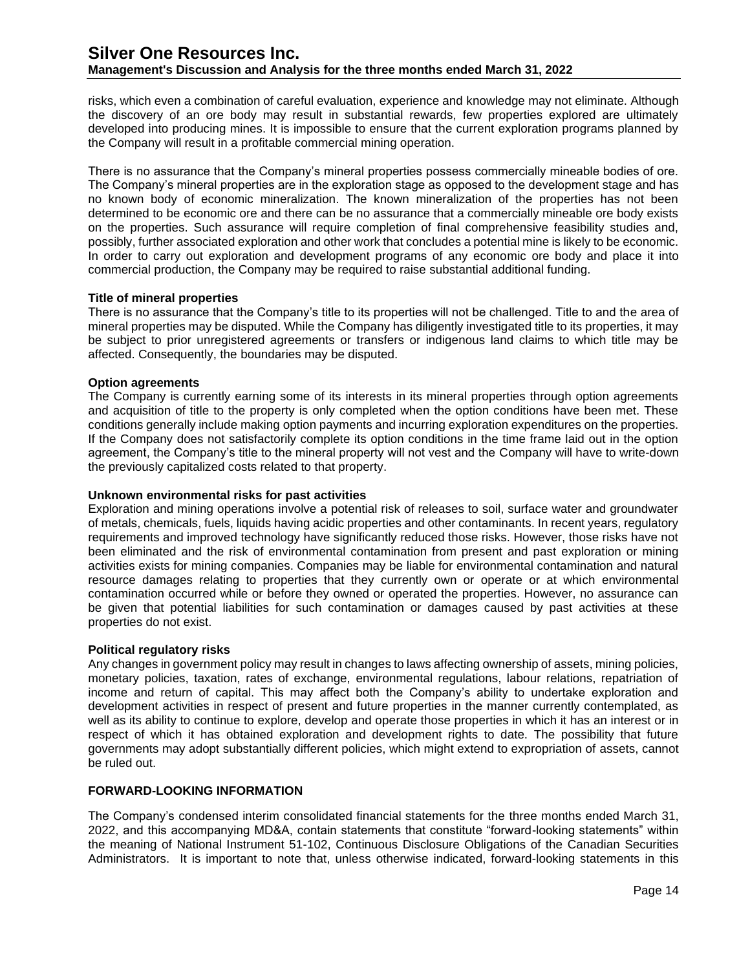## **Management's Discussion and Analysis for the three months ended March 31, 2022**

risks, which even a combination of careful evaluation, experience and knowledge may not eliminate. Although the discovery of an ore body may result in substantial rewards, few properties explored are ultimately developed into producing mines. It is impossible to ensure that the current exploration programs planned by the Company will result in a profitable commercial mining operation.

There is no assurance that the Company's mineral properties possess commercially mineable bodies of ore. The Company's mineral properties are in the exploration stage as opposed to the development stage and has no known body of economic mineralization. The known mineralization of the properties has not been determined to be economic ore and there can be no assurance that a commercially mineable ore body exists on the properties. Such assurance will require completion of final comprehensive feasibility studies and, possibly, further associated exploration and other work that concludes a potential mine is likely to be economic. In order to carry out exploration and development programs of any economic ore body and place it into commercial production, the Company may be required to raise substantial additional funding.

## **Title of mineral properties**

There is no assurance that the Company's title to its properties will not be challenged. Title to and the area of mineral properties may be disputed. While the Company has diligently investigated title to its properties, it may be subject to prior unregistered agreements or transfers or indigenous land claims to which title may be affected. Consequently, the boundaries may be disputed.

## **Option agreements**

The Company is currently earning some of its interests in its mineral properties through option agreements and acquisition of title to the property is only completed when the option conditions have been met. These conditions generally include making option payments and incurring exploration expenditures on the properties. If the Company does not satisfactorily complete its option conditions in the time frame laid out in the option agreement, the Company's title to the mineral property will not vest and the Company will have to write-down the previously capitalized costs related to that property.

#### **Unknown environmental risks for past activities**

Exploration and mining operations involve a potential risk of releases to soil, surface water and groundwater of metals, chemicals, fuels, liquids having acidic properties and other contaminants. In recent years, regulatory requirements and improved technology have significantly reduced those risks. However, those risks have not been eliminated and the risk of environmental contamination from present and past exploration or mining activities exists for mining companies. Companies may be liable for environmental contamination and natural resource damages relating to properties that they currently own or operate or at which environmental contamination occurred while or before they owned or operated the properties. However, no assurance can be given that potential liabilities for such contamination or damages caused by past activities at these properties do not exist.

#### **Political regulatory risks**

Any changes in government policy may result in changes to laws affecting ownership of assets, mining policies, monetary policies, taxation, rates of exchange, environmental regulations, labour relations, repatriation of income and return of capital. This may affect both the Company's ability to undertake exploration and development activities in respect of present and future properties in the manner currently contemplated, as well as its ability to continue to explore, develop and operate those properties in which it has an interest or in respect of which it has obtained exploration and development rights to date. The possibility that future governments may adopt substantially different policies, which might extend to expropriation of assets, cannot be ruled out.

## **FORWARD-LOOKING INFORMATION**

The Company's condensed interim consolidated financial statements for the three months ended March 31, 2022, and this accompanying MD&A, contain statements that constitute "forward-looking statements" within the meaning of National Instrument 51-102, Continuous Disclosure Obligations of the Canadian Securities Administrators. It is important to note that, unless otherwise indicated, forward-looking statements in this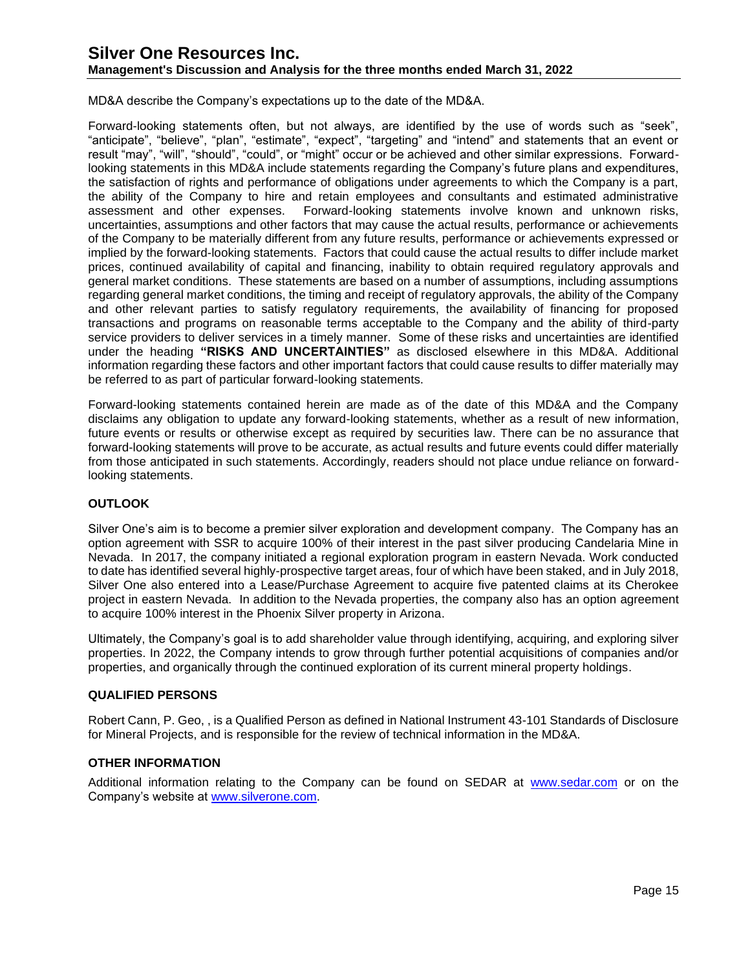## **Management's Discussion and Analysis for the three months ended March 31, 2022**

MD&A describe the Company's expectations up to the date of the MD&A.

Forward-looking statements often, but not always, are identified by the use of words such as "seek", "anticipate", "believe", "plan", "estimate", "expect", "targeting" and "intend" and statements that an event or result "may", "will", "should", "could", or "might" occur or be achieved and other similar expressions. Forwardlooking statements in this MD&A include statements regarding the Company's future plans and expenditures, the satisfaction of rights and performance of obligations under agreements to which the Company is a part, the ability of the Company to hire and retain employees and consultants and estimated administrative assessment and other expenses. Forward-looking statements involve known and unknown risks, uncertainties, assumptions and other factors that may cause the actual results, performance or achievements of the Company to be materially different from any future results, performance or achievements expressed or implied by the forward-looking statements. Factors that could cause the actual results to differ include market prices, continued availability of capital and financing, inability to obtain required regulatory approvals and general market conditions. These statements are based on a number of assumptions, including assumptions regarding general market conditions, the timing and receipt of regulatory approvals, the ability of the Company and other relevant parties to satisfy regulatory requirements, the availability of financing for proposed transactions and programs on reasonable terms acceptable to the Company and the ability of third-party service providers to deliver services in a timely manner. Some of these risks and uncertainties are identified under the heading **"RISKS AND UNCERTAINTIES"** as disclosed elsewhere in this MD&A. Additional information regarding these factors and other important factors that could cause results to differ materially may be referred to as part of particular forward-looking statements.

Forward-looking statements contained herein are made as of the date of this MD&A and the Company disclaims any obligation to update any forward-looking statements, whether as a result of new information, future events or results or otherwise except as required by securities law. There can be no assurance that forward-looking statements will prove to be accurate, as actual results and future events could differ materially from those anticipated in such statements. Accordingly, readers should not place undue reliance on forwardlooking statements.

## **OUTLOOK**

Silver One's aim is to become a premier silver exploration and development company. The Company has an option agreement with SSR to acquire 100% of their interest in the past silver producing Candelaria Mine in Nevada. In 2017, the company initiated a regional exploration program in eastern Nevada. Work conducted to date has identified several highly-prospective target areas, four of which have been staked, and in July 2018, Silver One also entered into a Lease/Purchase Agreement to acquire five patented claims at its Cherokee project in eastern Nevada. In addition to the Nevada properties, the company also has an option agreement to acquire 100% interest in the Phoenix Silver property in Arizona.

Ultimately, the Company's goal is to add shareholder value through identifying, acquiring, and exploring silver properties. In 2022, the Company intends to grow through further potential acquisitions of companies and/or properties, and organically through the continued exploration of its current mineral property holdings.

## **QUALIFIED PERSONS**

Robert Cann, P. Geo, , is a Qualified Person as defined in National Instrument 43-101 Standards of Disclosure for Mineral Projects, and is responsible for the review of technical information in the MD&A.

#### **OTHER INFORMATION**

Additional information relating to the Company can be found on SEDAR at [www.sedar.com](http://www.sedar.com/) or on the Company's website at [www.silverone.com.](http://www.silverone.com/)